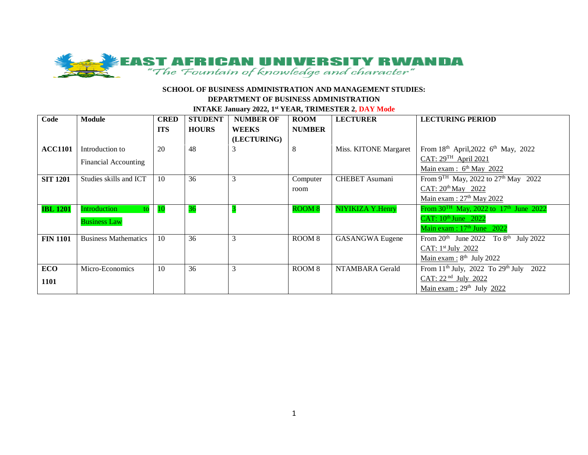

| Code            | <b>Module</b>               | <b>CRED</b> | <b>STUDENT</b> | <b>NUMBER OF</b> | <b>ROOM</b>       | <b>LECTURER</b>        | <b>LECTURING PERIOD</b>                                        |
|-----------------|-----------------------------|-------------|----------------|------------------|-------------------|------------------------|----------------------------------------------------------------|
|                 |                             | <b>ITS</b>  | <b>HOURS</b>   | <b>WEEKS</b>     | <b>NUMBER</b>     |                        |                                                                |
|                 |                             |             |                | (LECTURING)      |                   |                        |                                                                |
| <b>ACC1101</b>  | Introduction to             | 20          | 48             | 3                | 8                 | Miss. KITONE Margaret  | From 18th April, 2022 6th May, 2022                            |
|                 | <b>Financial Accounting</b> |             |                |                  |                   |                        | CAT: $29^{TH}$ April 2021                                      |
|                 |                             |             |                |                  |                   |                        | Main exam : $6th$ May 2022                                     |
| <b>SIT 1201</b> | Studies skills and ICT      | 10          | 36             | 3                | Computer          | <b>CHEBET</b> Asumani  | From 9 <sup>TH</sup> May, 2022 to 27 <sup>th</sup> May 2022    |
|                 |                             |             |                |                  | room              |                        | CAT: $20^{th}$ May 2022                                        |
|                 |                             |             |                |                  |                   |                        | Main exam: $27th$ May 2022                                     |
| <b>IBL 1201</b> | Introduction<br>to          | 10          | 36             |                  | <b>ROOM 8</b>     | NIYIKIZA Y.Henry       | From $30^{TH}$ May, 2022 to 17 <sup>th</sup> June 2022         |
|                 | <b>Business Law</b>         |             |                |                  |                   |                        | CAT: $10^{\text{th}}$ June 2022                                |
|                 |                             |             |                |                  |                   |                        | Main exam : $17th$ June 2022                                   |
| <b>FIN 1101</b> | <b>Business Mathematics</b> | 10          | 36             | 3                | ROOM <sub>8</sub> | <b>GASANGWA Eugene</b> | From $20th$ June 2022<br>To $8^{\text{th}}$ July 2022          |
|                 |                             |             |                |                  |                   |                        | CAT: $1st$ July 2022                                           |
|                 |                             |             |                |                  |                   |                        | Main exam : $8th$ July 2022                                    |
| <b>ECO</b>      | Micro-Economics             | 10          | 36             | 3                | ROOM <sub>8</sub> | NTAMBARA Gerald        | From 11 <sup>th</sup> July, 2022 To 29 <sup>th</sup> July 2022 |
| 1101            |                             |             |                |                  |                   |                        | CAT: 22 <sup>nd</sup> July 2022                                |
|                 |                             |             |                |                  |                   |                        | Main exam : $29th$ July 2022                                   |

#### **INTAKE January 2022, 1st YEAR, TRIMESTER 2, DAY Mode**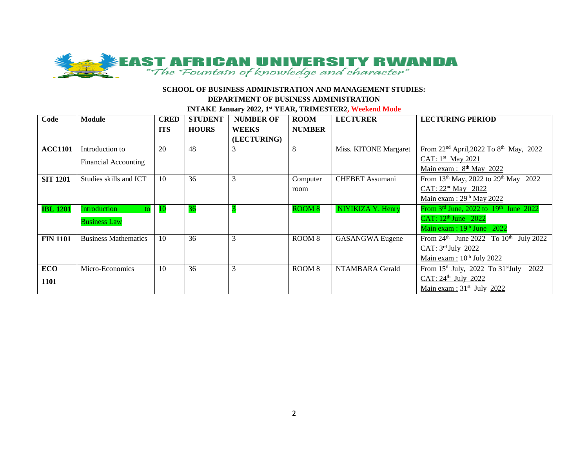

**INTAKE January 2022, 1st YEAR, TRIMESTER2, Weekend Mode**

| Code            | <b>Module</b>               | <b>CRED</b> | <b>STUDENT</b> | <b>NUMBER OF</b> | <b>ROOM</b>       | <b>LECTURER</b>        | <b>LECTURING PERIOD</b>                                                 |
|-----------------|-----------------------------|-------------|----------------|------------------|-------------------|------------------------|-------------------------------------------------------------------------|
|                 |                             | <b>ITS</b>  | <b>HOURS</b>   | <b>WEEKS</b>     | <b>NUMBER</b>     |                        |                                                                         |
|                 |                             |             |                | (LECTURING)      |                   |                        |                                                                         |
| <b>ACC1101</b>  | Introduction to             | 20          | 48             | 3                | 8                 | Miss. KITONE Margaret  | From 22 <sup>nd</sup> April, 2022 To 8 <sup>th</sup> May, 2022          |
|                 | <b>Financial Accounting</b> |             |                |                  |                   |                        | CAT: $1st$ May 2021                                                     |
|                 |                             |             |                |                  |                   |                        | Main exam : 8 <sup>th</sup> May 2022                                    |
| <b>SIT 1201</b> | Studies skills and ICT      | 10          | 36             | 3                | Computer          | <b>CHEBET</b> Assumani | From 13th May, 2022 to 29th May 2022                                    |
|                 |                             |             |                |                  | room              |                        | CAT: $22nd$ May 2022                                                    |
|                 |                             |             |                |                  |                   |                        | Main exam : $29th$ May 2022                                             |
| <b>IBL 1201</b> | Introduction<br>to l        | <b>10</b>   | 36             |                  | <b>ROOM 8</b>     | NIYIKIZA Y. Henry      | From $3^{\text{rd}}$ June, 2022 to $19^{\text{th}}$ June 2022           |
|                 | <b>Business Law</b>         |             |                |                  |                   |                        | CAT: $12^{\text{th}}$ June 2022                                         |
|                 |                             |             |                |                  |                   |                        | Main exam : $19th$ June 2022                                            |
| <b>FIN 1101</b> | <b>Business Mathematics</b> | 10          | 36             | 3                | ROOM <sub>8</sub> | <b>GASANGWA Eugene</b> | From $24^{\text{th}}$ June 2022 To $10^{\text{th}}$<br><b>July 2022</b> |
|                 |                             |             |                |                  |                   |                        | CAT: $3^{\text{rd}}$ July 2022                                          |
|                 |                             |             |                |                  |                   |                        | Main exam : $10^{th}$ July 2022                                         |
| <b>ECO</b>      | Micro-Economics             | 10          | 36             | 3                | ROOM <sub>8</sub> | NTAMBARA Gerald        | From $15th$ July, 2022 To $31st$ July<br>2022                           |
| <b>1101</b>     |                             |             |                |                  |                   |                        | CAT: 24 <sup>th</sup> July 2022                                         |
|                 |                             |             |                |                  |                   |                        | Main exam : $31st$ July 2022                                            |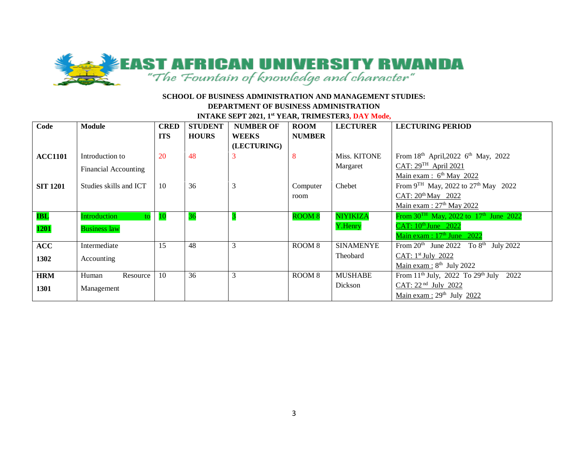

**INTAKE SEPT 2021, 1st YEAR, TRIMESTER3, DAY Mode,** 

| Code            | Module                               | <b>CRED</b> | <b>STUDENT</b> | <b>NUMBER OF</b> | <b>ROOM</b>   | <b>LECTURER</b>  | <b>LECTURING PERIOD</b>                                        |
|-----------------|--------------------------------------|-------------|----------------|------------------|---------------|------------------|----------------------------------------------------------------|
|                 |                                      | <b>ITS</b>  | <b>HOURS</b>   | <b>WEEKS</b>     | <b>NUMBER</b> |                  |                                                                |
|                 |                                      |             |                | (LECTURING)      |               |                  |                                                                |
| <b>ACC1101</b>  | Introduction to                      | 20          | 48             |                  | 8             | Miss. KITONE     | From $18^{th}$ April, 2022 6 <sup>th</sup> May, 2022           |
|                 | Financial Accounting                 |             |                |                  |               | Margaret         | $CAT: 29TH$ April 2021                                         |
|                 |                                      |             |                |                  |               |                  | Main exam : $6th$ May 2022                                     |
| <b>SIT 1201</b> | Studies skills and ICT               | 10          | 36             | 3                | Computer      | Chebet           | From 9 <sup>TH</sup> May, 2022 to 27 <sup>th</sup> May 2022    |
|                 |                                      |             |                |                  | room          |                  | CAT: 20 <sup>th</sup> May 2022                                 |
|                 |                                      |             |                |                  |               |                  | Main exam: 27 <sup>th</sup> May 2022                           |
| <b>IBL</b>      | <b>Introduction</b><br>$\mathsf{to}$ | <b>10</b>   | 36             |                  | <b>ROOM 8</b> | <b>NIYIKIZA</b>  | From $30^{TH}$ May, 2022 to 17 <sup>th</sup> June 2022         |
| 1201            | <b>Business law</b>                  |             |                |                  |               | Y.Henry          | CAT: 10th June 2022                                            |
|                 |                                      |             |                |                  |               |                  | Main exam : $17th$ June 2022                                   |
| <b>ACC</b>      | Intermediate                         | 15          | 48             | 3                | ROOM 8        | <b>SINAMENYE</b> | From $20^{th}$ June 2022 To $8^{th}$ July 2022                 |
| 1302            | Accounting                           |             |                |                  |               | Theobard         | CAT: $1st$ July 2022                                           |
|                 |                                      |             |                |                  |               |                  | Main exam : $8th$ July 2022                                    |
| <b>HRM</b>      | Human<br>Resource                    | -10         | 36             | 3                | ROOM 8        | <b>MUSHABE</b>   | From 11 <sup>th</sup> July, 2022 To 29 <sup>th</sup> July 2022 |
| 1301            | Management                           |             |                |                  |               | Dickson          | CAT: 22 <sup>nd</sup> July 2022                                |
|                 |                                      |             |                |                  |               |                  | Main exam : $29th$ July 2022                                   |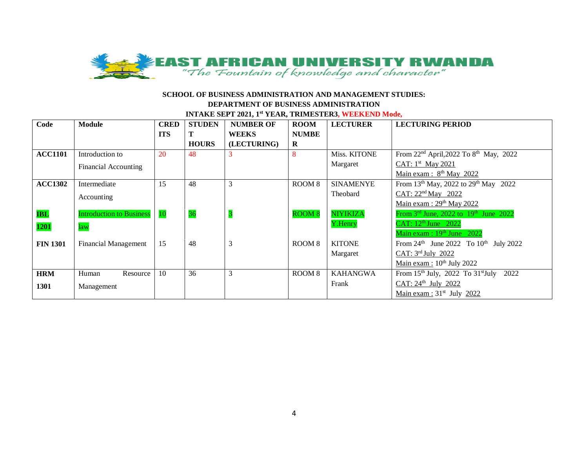

### **SCHOOL OF BUSINESS ADMINISTRATION AND MANAGEMENT STUDIES: DEPARTMENT OF BUSINESS ADMINISTRATION INTAKE SEPT 2021, 1st YEAR, TRIMESTER3, WEEKEND Mode,**

| Code            | <b>Module</b>                   | <b>CRED</b> | <b>STUDEN</b> | <b>NUMBER OF</b> | <b>ROOM</b>       | <b>LECTURER</b>  | <b>LECTURING PERIOD</b>                                       |
|-----------------|---------------------------------|-------------|---------------|------------------|-------------------|------------------|---------------------------------------------------------------|
|                 |                                 | <b>ITS</b>  | т             | <b>WEEKS</b>     | <b>NUMBE</b>      |                  |                                                               |
|                 |                                 |             | <b>HOURS</b>  | (LECTURING)      | $\bf{R}$          |                  |                                                               |
| <b>ACC1101</b>  | Introduction to                 | 20          | 48            | 3                |                   | Miss. KITONE     | From $22^{nd}$ April, $2022$ To $8^{th}$ May, $2022$          |
|                 | <b>Financial Accounting</b>     |             |               |                  |                   | Margaret         | CAT: $1st$ May 2021                                           |
|                 |                                 |             |               |                  |                   |                  | Main exam: $8th$ May 2022                                     |
| <b>ACC1302</b>  | Intermediate                    | 15          | 48            | 3                | ROOM <sub>8</sub> | <b>SINAMENYE</b> | From 13 <sup>th</sup> May, 2022 to 29 <sup>th</sup> May 2022  |
|                 | Accounting                      |             |               |                  |                   | Theobard         | CAT: $22nd$ May 2022                                          |
|                 |                                 |             |               |                  |                   |                  | Main exam : $29th$ May 2022                                   |
| <b>IBL</b>      | <b>Introduction to Business</b> | 10          | 36            |                  | <b>ROOM 8</b>     | <b>NIYIKIZA</b>  | From $3rd$ June, 2022 to $19th$ June 2022                     |
| 1201            | law                             |             |               |                  |                   | Y.Henry          | CAT: $12^{\text{th}}$ June 2022                               |
|                 |                                 |             |               |                  |                   |                  | Main exam : 19th June 2022                                    |
| <b>FIN 1301</b> | <b>Financial Management</b>     | 15          | 48            | 3                | ROOM <sub>8</sub> | <b>KITONE</b>    | From $24^{\text{th}}$ June 2022 To $10^{\text{th}}$ July 2022 |
|                 |                                 |             |               |                  |                   | Margaret         | CAT: 3rd July 2022                                            |
|                 |                                 |             |               |                  |                   |                  | Main exam : $10^{th}$ July 2022                               |
| <b>HRM</b>      | Human<br>Resource               | 10          | 36            | 3                | ROOM <sub>8</sub> | <b>KAHANGWA</b>  | From $15th$ July, 2022 To $31st$ July<br>2022                 |
| 1301            | Management                      |             |               |                  |                   | Frank            | CAT: 24th July 2022                                           |
|                 |                                 |             |               |                  |                   |                  | <u>Main exam:</u> $31^{st}$ July 2022                         |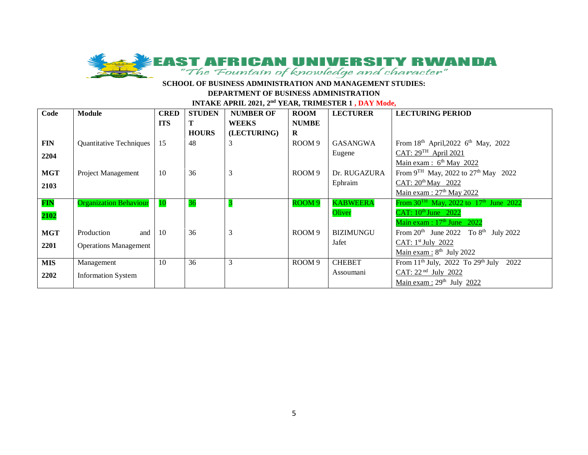

#### **INTAKE APRIL 2021, 2<sup>nd</sup> YEAR, TRIMESTER 1, DAY Mode,**

| Code       | <b>Module</b>                 | <b>CRED</b> | <b>STUDEN</b> | <b>NUMBER OF</b> | <b>ROOM</b>       | <b>LECTURER</b>  | <b>LECTURING PERIOD</b>                                |
|------------|-------------------------------|-------------|---------------|------------------|-------------------|------------------|--------------------------------------------------------|
|            |                               | <b>ITS</b>  | Т             | <b>WEEKS</b>     | <b>NUMBE</b>      |                  |                                                        |
|            |                               |             | <b>HOURS</b>  | (LECTURING)      | $\bf{R}$          |                  |                                                        |
| <b>FIN</b> | Quantitative Techniques       | 15          | 48            | 3                | ROOM <sub>9</sub> | <b>GASANGWA</b>  | From $18^{th}$ April, 2022 6 <sup>th</sup> May, 2022   |
| 2204       |                               |             |               |                  |                   | Eugene           | CAT: 29TH April 2021                                   |
|            |                               |             |               |                  |                   |                  | Main exam: $6th$ May 2022                              |
| <b>MGT</b> | Project Management            | 10          | 36            | 3                | ROOM <sub>9</sub> | Dr. RUGAZURA     | From $9^{TH}$ May, 2022 to $27^{th}$ May 2022          |
| 2103       |                               |             |               |                  |                   | Ephraim          | CAT: 20 <sup>th</sup> May 2022                         |
|            |                               |             |               |                  |                   |                  | Main exam: 27 <sup>th</sup> May 2022                   |
| <b>FIN</b> | <b>Organization Behaviour</b> | <b>10</b>   | 36            |                  | ROOM <sub>9</sub> | <b>KABWEERA</b>  | From $30^{TH}$ May, 2022 to 17 <sup>th</sup> June 2022 |
| 2102       |                               |             |               |                  |                   | Oliver           | CAT: $10^{\text{th}}$ June 2022                        |
|            |                               |             |               |                  |                   |                  | Main exam : $17th$ June 2022                           |
| <b>MGT</b> | and<br>Production             | 10          | 36            | 3                | ROOM <sub>9</sub> | <b>BIZIMUNGU</b> | From $20^{th}$ June $2022$ To $8^{th}$ July $2022$     |
| 2201       | <b>Operations Management</b>  |             |               |                  |                   | Jafet            | CAT: $1st$ July 2022                                   |
|            |                               |             |               |                  |                   |                  | Main exam : $8th$ July 2022                            |
| <b>MIS</b> | Management                    | 10          | 36            | 3                | ROOM <sub>9</sub> | <b>CHEBET</b>    | From $11th$ July, 2022 To $29th$ July<br>2022          |
| 2202       | <b>Information System</b>     |             |               |                  |                   | Assoumani        | CAT: 22 <sup>nd</sup> July 2022                        |
|            |                               |             |               |                  |                   |                  | Main exam : $29th$ July 2022                           |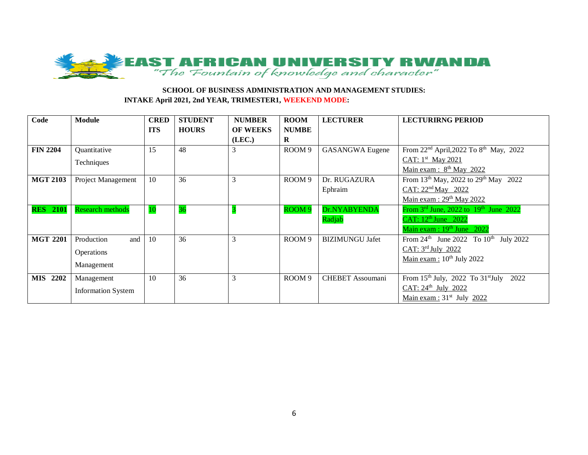

### **SCHOOL OF BUSINESS ADMINISTRATION AND MANAGEMENT STUDIES: INTAKE April 2021, 2nd YEAR, TRIMESTER1, WEEKEND MODE:**

| Code            | <b>Module</b>             | <b>CRED</b> | <b>STUDENT</b> | <b>NUMBER</b>   | <b>ROOM</b>       | <b>LECTURER</b>         | <b>LECTURIRNG PERIOD</b>                                       |
|-----------------|---------------------------|-------------|----------------|-----------------|-------------------|-------------------------|----------------------------------------------------------------|
|                 |                           | <b>ITS</b>  | <b>HOURS</b>   | <b>OF WEEKS</b> | <b>NUMBE</b>      |                         |                                                                |
|                 |                           |             |                | (LEC.)          | $\bf R$           |                         |                                                                |
| <b>FIN 2204</b> | Quantitative              | 15          | 48             | 3               | ROOM <sub>9</sub> | <b>GASANGWA</b> Eugene  | From 22 <sup>nd</sup> April, 2022 To 8 <sup>th</sup> May, 2022 |
|                 | Techniques                |             |                |                 |                   |                         | CAT: 1st May 2021                                              |
|                 |                           |             |                |                 |                   |                         | Main exam : $8th$ May 2022                                     |
| <b>MGT 2103</b> | Project Management        | 10          | 36             | 3               | ROOM <sub>9</sub> | Dr. RUGAZURA            | From 13 <sup>th</sup> May, 2022 to 29 <sup>th</sup> May 2022   |
|                 |                           |             |                |                 |                   | Ephraim                 | CAT: $22nd$ May 2022                                           |
|                 |                           |             |                |                 |                   |                         | Main exam: $29th$ May 2022                                     |
| <b>RES</b> 2101 | <b>Research methods</b>   | <b>10</b>   | 36             |                 | ROOM <sub>9</sub> | Dr.NYABYENDA            | From $3rd$ June, 2022 to $19th$ June 2022                      |
|                 |                           |             |                |                 |                   | Radjab                  | CAT: $12^{\text{th}}$ June 2022                                |
|                 |                           |             |                |                 |                   |                         | Main exam : 19th June 2022                                     |
| <b>MGT 2201</b> | Production<br>and         | 10          | 36             | 3               | ROOM <sub>9</sub> | <b>BIZIMUNGU Jafet</b>  | From $24^{\text{th}}$ June 2022 To $10^{\text{th}}$ July 2022  |
|                 | Operations                |             |                |                 |                   |                         | CAT: 3rd July 2022                                             |
|                 |                           |             |                |                 |                   |                         | Main exam : $10^{th}$ July 2022                                |
|                 | Management                |             |                |                 |                   |                         |                                                                |
| <b>MIS</b> 2202 | Management                | 10          | 36             | 3               | ROOM <sub>9</sub> | <b>CHEBET</b> Assoumani | From 15th July, 2022 To 31st July 2022                         |
|                 | <b>Information System</b> |             |                |                 |                   |                         | CAT: 24th July 2022                                            |
|                 |                           |             |                |                 |                   |                         | <u>Main exam:</u> $31st$ July 2022                             |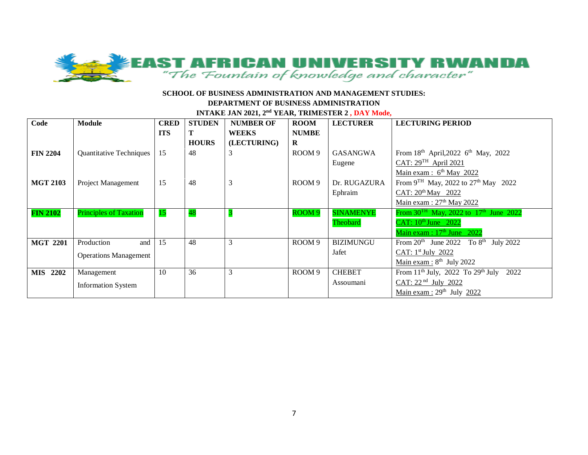

#### **SCHOOL OF BUSINESS ADMINISTRATION AND MANAGEMENT STUDIES:**

#### **DEPARTMENT OF BUSINESS ADMINISTRATION**

**INTAKE JAN 2021, 2nd YEAR, TRIMESTER 2 , DAY Mode,** 

| Code            | Module                         | <b>CRED</b> | <b>STUDEN</b> | <b>NUMBER OF</b> | <b>ROOM</b>       | <b>LECTURER</b>  | <b>LECTURING PERIOD</b>                                        |
|-----------------|--------------------------------|-------------|---------------|------------------|-------------------|------------------|----------------------------------------------------------------|
|                 |                                | <b>ITS</b>  | т             | <b>WEEKS</b>     | <b>NUMBE</b>      |                  |                                                                |
|                 |                                |             | <b>HOURS</b>  | (LECTURING)      | $\bf{R}$          |                  |                                                                |
| <b>FIN 2204</b> | <b>Quantitative Techniques</b> | 15          | 48            | 3                | ROOM <sub>9</sub> | GASANGWA         | From 18th April, 2022 6th May, 2022                            |
|                 |                                |             |               |                  |                   | Eugene           | $CAT: 29TH$ April 2021                                         |
|                 |                                |             |               |                  |                   |                  | Main exam : $6th$ May 2022                                     |
| <b>MGT 2103</b> | Project Management             | 15          | 48            | 3                | ROOM <sub>9</sub> | Dr. RUGAZURA     | From 9 <sup>TH</sup> May, 2022 to 27 <sup>th</sup> May 2022    |
|                 |                                |             |               |                  |                   | Ephraim          | CAT: 20 <sup>th</sup> May 2022                                 |
|                 |                                |             |               |                  |                   |                  | Main exam: $27th$ May 2022                                     |
| <b>FIN 2102</b> | <b>Principles of Taxation</b>  | 15          | 48            |                  | ROOM <sub>9</sub> | <b>SINAMENYE</b> | From $30^{TH}$ May, 2022 to $17^{th}$ June 2022                |
|                 |                                |             |               |                  |                   | Theobard         | CAT: $10^{\text{th}}$ June $2022$                              |
|                 |                                |             |               |                  |                   |                  | Main exam : $17th$ June 2022                                   |
| <b>MGT 2201</b> | Production<br>and              | 15          | 48            | 3                | ROOM <sub>9</sub> | <b>BIZIMUNGU</b> | From $20^{th}$ June 2022 To $8^{th}$ July 2022                 |
|                 | <b>Operations Management</b>   |             |               |                  |                   | Jafet            | CAT: $1st$ July 2022                                           |
|                 |                                |             |               |                  |                   |                  | Main exam : $8th$ July 2022                                    |
| <b>MIS</b> 2202 | Management                     | 10          | 36            | 3                | ROOM <sub>9</sub> | <b>CHEBET</b>    | From 11 <sup>th</sup> July, 2022 To 29 <sup>th</sup> July 2022 |
|                 | <b>Information System</b>      |             |               |                  |                   | Assoumani        | CAT: 22 <sup>nd</sup> July 2022                                |
|                 |                                |             |               |                  |                   |                  | Main exam : $29th$ July 2022                                   |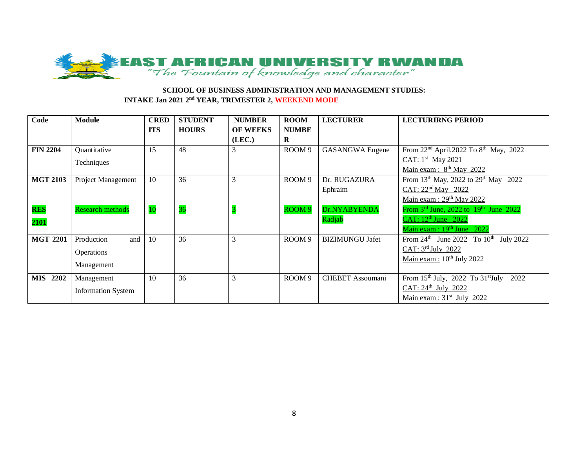

### **SCHOOL OF BUSINESS ADMINISTRATION AND MANAGEMENT STUDIES: INTAKE Jan 2021 2<sup>nd</sup> YEAR, TRIMESTER 2, WEEKEND MODE**

| Code               | <b>Module</b>             | <b>CRED</b> | <b>STUDENT</b> | <b>NUMBER</b>   | <b>ROOM</b>       | <b>LECTURER</b>         | <b>LECTURIRNG PERIOD</b>                                       |
|--------------------|---------------------------|-------------|----------------|-----------------|-------------------|-------------------------|----------------------------------------------------------------|
|                    |                           | <b>ITS</b>  | <b>HOURS</b>   | <b>OF WEEKS</b> | <b>NUMBE</b>      |                         |                                                                |
|                    |                           |             |                | (LEC.)          | $\bf{R}$          |                         |                                                                |
| <b>FIN 2204</b>    | Quantitative              | 15          | 48             | 3               | ROOM <sub>9</sub> | <b>GASANGWA Eugene</b>  | From 22 <sup>nd</sup> April, 2022 To 8 <sup>th</sup> May, 2022 |
|                    | Techniques                |             |                |                 |                   |                         | CAT: $1st$ May 2021                                            |
|                    |                           |             |                |                 |                   |                         | Main exam : $8th$ May 2022                                     |
| <b>MGT 2103</b>    | Project Management        | 10          | 36             | 3               | ROOM <sub>9</sub> | Dr. RUGAZURA            | From 13 <sup>th</sup> May, 2022 to 29 <sup>th</sup> May 2022   |
|                    |                           |             |                |                 |                   | Ephraim                 | CAT: $22nd$ May 2022                                           |
|                    |                           |             |                |                 |                   |                         | Main exam : $29th$ May 2022                                    |
| <b>RES</b>         | <b>Research methods</b>   | 10          | 36             |                 | ROOM <sub>9</sub> | Dr.NYABYENDA            | From $3rd$ June, 2022 to $19th$ June 2022                      |
| 2101               |                           |             |                |                 |                   | Radjab                  | CAT: 12 <sup>th</sup> June 2022                                |
|                    |                           |             |                |                 |                   |                         | Main exam : 19th June 2022                                     |
| <b>MGT 2201</b>    | Production<br>and         | 10          | 36             | 3               | ROOM <sub>9</sub> | <b>BIZIMUNGU Jafet</b>  | From $24^{th}$ June 2022 To $10^{th}$ July 2022                |
|                    | Operations                |             |                |                 |                   |                         | CAT: 3rd July 2022                                             |
|                    |                           |             |                |                 |                   |                         | Main exam : $10^{th}$ July 2022                                |
|                    | Management                |             |                |                 |                   |                         |                                                                |
| 2202<br><b>MIS</b> | Management                | 10          | 36             | 3               | ROOM 9            | <b>CHEBET</b> Assoumani | From 15th July, 2022 To 31st July 2022                         |
|                    | <b>Information System</b> |             |                |                 |                   |                         | CAT: 24th July 2022                                            |
|                    |                           |             |                |                 |                   |                         | Main exam : $31st$ July 2022                                   |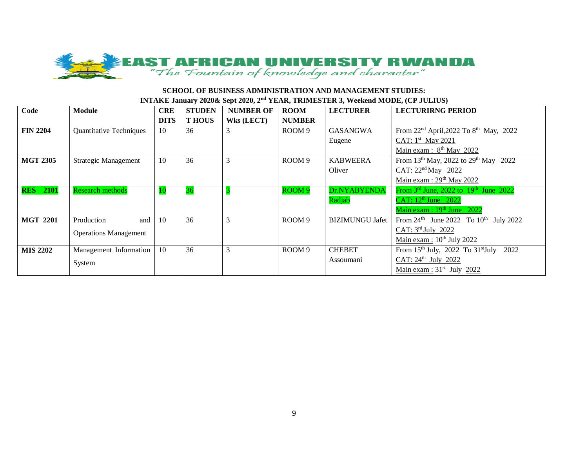

## **SCHOOL OF BUSINESS ADMINISTRATION AND MANAGEMENT STUDIES: INTAKE January 2020& Sept 2020, 2nd YEAR, TRIMESTER 3, Weekend MODE, (CP JULIUS)**

| Code            | <b>Module</b>                  | <b>CRE</b>  | <b>STUDEN</b> | <b>NUMBER OF</b>  | <b>ROOM</b>       | <b>LECTURER</b>        | <b>LECTURIRNG PERIOD</b>                                      |
|-----------------|--------------------------------|-------------|---------------|-------------------|-------------------|------------------------|---------------------------------------------------------------|
|                 |                                | <b>DITS</b> | <b>THOUS</b>  | <b>Wks (LECT)</b> | <b>NUMBER</b>     |                        |                                                               |
| <b>FIN 2204</b> | <b>Quantitative Techniques</b> | 10          | 36            |                   | ROOM 9            | <b>GASANGWA</b>        | From $22^{nd}$ April, $2022$ To $8^{th}$ May, $2022$          |
|                 |                                |             |               |                   |                   | Eugene                 | CAT: 1st May 2021                                             |
|                 |                                |             |               |                   |                   |                        | Main exam : $8th$ May 2022                                    |
| <b>MGT 2305</b> | <b>Strategic Management</b>    | 10          | 36            | 3                 | ROOM 9            | <b>KABWEERA</b>        | From 13 <sup>th</sup> May, 2022 to 29 <sup>th</sup> May 2022  |
|                 |                                |             |               |                   |                   | Oliver                 | CAT: 22 <sup>nd</sup> May 2022                                |
|                 |                                |             |               |                   |                   |                        | Main exam : $29th$ May 2022                                   |
| <b>RES</b> 2101 | <b>Research methods</b>        | -10         | 36            |                   | ROOM <sub>9</sub> | Dr.NYABYENDA           | From $3^{\text{rd}}$ June, 2022 to $19^{\text{th}}$ June 2022 |
|                 |                                |             |               |                   |                   | Radjab                 | CAT: 12 <sup>th</sup> June 2022                               |
|                 |                                |             |               |                   |                   |                        | Main $exam : 19th June 2022$                                  |
| <b>MGT 2201</b> | Production<br>and              | 10          | 36            |                   | ROOM 9            | <b>BIZIMUNGU Jafet</b> | From $24^{\text{th}}$ June 2022 To $10^{\text{th}}$ July 2022 |
|                 | <b>Operations Management</b>   |             |               |                   |                   |                        | CAT: 3rd July 2022                                            |
|                 |                                |             |               |                   |                   |                        | Main exam : $10^{th}$ July 2022                               |
| <b>MIS 2202</b> | Management Information         | -10         | 36            | 3                 | ROOM 9            | <b>CHEBET</b>          | From $15th$ July, 2022 To $31st$ July<br>2022                 |
|                 | System                         |             |               |                   |                   | Assoumani              | CAT: $24^{\text{th}}$ July 2022                               |
|                 |                                |             |               |                   |                   |                        | Main exam : $31st$ July 2022                                  |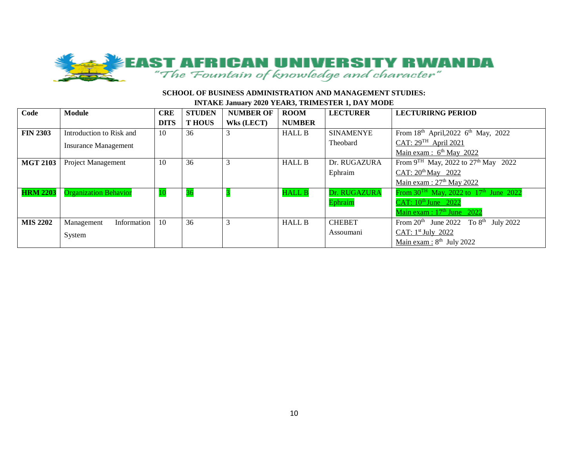

#### **SCHOOL OF BUSINESS ADMINISTRATION AND MANAGEMENT STUDIES:**

#### **INTAKE January 2020 YEAR3, TRIMESTER 1, DAY MODE**

| Code            | Module                       | <b>CRE</b>  | <b>STUDEN</b> | <b>NUMBER OF</b>  | <b>ROOM</b>   | <b>LECTURER</b>  | <b>LECTURIRNG PERIOD</b>                               |
|-----------------|------------------------------|-------------|---------------|-------------------|---------------|------------------|--------------------------------------------------------|
|                 |                              | <b>DITS</b> | <b>THOUS</b>  | <b>Wks</b> (LECT) | <b>NUMBER</b> |                  |                                                        |
| <b>FIN 2303</b> | Introduction to Risk and     | 10          | 36            | 3                 | <b>HALL B</b> | <b>SINAMENYE</b> | From $18^{th}$ April, 2022 6 <sup>th</sup> May, 2022   |
|                 | <b>Insurance Management</b>  |             |               |                   |               | Theobard         | CAT: $29^{TH}$ April 2021                              |
|                 |                              |             |               |                   |               |                  | Main exam : $6th$ May 2022                             |
| <b>MGT 2103</b> | Project Management           | 10          | 36            | 3                 | <b>HALL B</b> | Dr. RUGAZURA     | From $9^{TH}$ May, 2022 to $27^{th}$ May 2022          |
|                 |                              |             |               |                   |               | Ephraim          | CAT: 20 <sup>th</sup> May 2022                         |
|                 |                              |             |               |                   |               |                  | Main exam : $27th$ May 2022                            |
| <b>HRM 2203</b> | <b>Organization Behavior</b> | 10          | 36            |                   | <b>HALL B</b> | Dr. RUGAZURA     | From $30^{TH}$ May, 2022 to 17 <sup>th</sup> June 2022 |
|                 |                              |             |               |                   |               | Ephraim          | CAT: 10th June 2022                                    |
|                 |                              |             |               |                   |               |                  | Main exam : $17th$ June 2022                           |
| <b>MIS 2202</b> | Information<br>Management    | 10          | 36            | 3                 | <b>HALL B</b> | <b>CHEBET</b>    | From $20^{th}$ June 2022 To $8^{th}$ July 2022         |
|                 | System                       |             |               |                   |               | Assoumani        | CAT: 1st July 2022                                     |
|                 |                              |             |               |                   |               |                  | Main exam : $8th$ July 2022                            |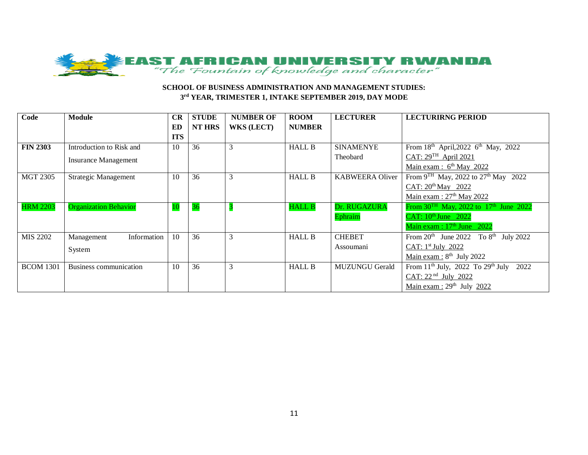

### **SCHOOL OF BUSINESS ADMINISTRATION AND MANAGEMENT STUDIES: 3 rd YEAR, TRIMESTER 1, INTAKE SEPTEMBER 2019, DAY MODE**

| Code             | <b>Module</b>                | CR         | <b>STUDE</b>  | <b>NUMBER OF</b>  | <b>ROOM</b>   | <b>LECTURER</b>        | <b>LECTURIRNG PERIOD</b>                                       |
|------------------|------------------------------|------------|---------------|-------------------|---------------|------------------------|----------------------------------------------------------------|
|                  |                              | <b>ED</b>  | <b>NT HRS</b> | <b>WKS (LECT)</b> | <b>NUMBER</b> |                        |                                                                |
|                  |                              | <b>ITS</b> |               |                   |               |                        |                                                                |
| <b>FIN 2303</b>  | Introduction to Risk and     | 10         | 36            | 3                 | <b>HALL B</b> | <b>SINAMENYE</b>       | From 18th April, 2022 6th May, 2022                            |
|                  | <b>Insurance Management</b>  |            |               |                   |               | Theobard               | CAT: $29TH$ April 2021                                         |
|                  |                              |            |               |                   |               |                        | Main exam : $6th$ May 2022                                     |
| <b>MGT 2305</b>  | <b>Strategic Management</b>  | 10         | 36            | 3                 | <b>HALL B</b> | <b>KABWEERA Oliver</b> | From $9^{TH}$ May, 2022 to $27^{th}$ May 2022                  |
|                  |                              |            |               |                   |               |                        | CAT: $20^{\text{th}}$ May 2022                                 |
|                  |                              |            |               |                   |               |                        | Main exam: $27th$ May 2022                                     |
| <b>HRM 2203</b>  | <b>Organization Behavior</b> | <b>10</b>  | 36            |                   | <b>HALL B</b> | Dr. RUGAZURA           | From $30^{TH}$ May, 2022 to 17 <sup>th</sup> June 2022         |
|                  |                              |            |               |                   |               | Ephraim                | CAT: $10^{\text{th}}$ June $2022$                              |
|                  |                              |            |               |                   |               |                        | Main exam : $17th$ June 2022                                   |
| MIS 2202         | Information<br>Management    | 10         | 36            | 3                 | <b>HALL B</b> | <b>CHEBET</b>          | To $8^{th}$ July 2022<br>From $20th$ June 2022                 |
|                  | System                       |            |               |                   |               | Assoumani              | CAT: $1st$ July 2022                                           |
|                  |                              |            |               |                   |               |                        | Main exam : $8th$ July 2022                                    |
| <b>BCOM 1301</b> | Business communication       | 10         | 36            | 3                 | <b>HALL B</b> | <b>MUZUNGU Gerald</b>  | From 11 <sup>th</sup> July, 2022 To 29 <sup>th</sup> July 2022 |
|                  |                              |            |               |                   |               |                        | CAT: 22 <sup>nd</sup> July 2022                                |
|                  |                              |            |               |                   |               |                        | Main exam : $29th$ July 2022                                   |